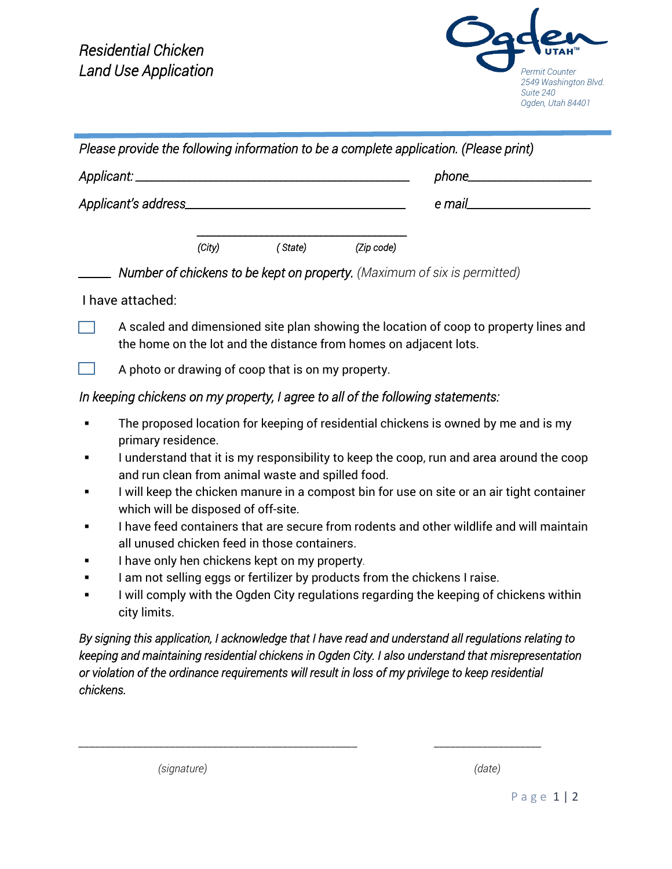*Residential Chicken Land Use Application* 



|                                                                                 |                                                                                                                                                                      |        |  |                    | Please provide the following information to be a complete application. (Please print)                  |  |  |
|---------------------------------------------------------------------------------|----------------------------------------------------------------------------------------------------------------------------------------------------------------------|--------|--|--------------------|--------------------------------------------------------------------------------------------------------|--|--|
|                                                                                 |                                                                                                                                                                      |        |  |                    | $phone$ phone phone phone by $\sim$                                                                    |  |  |
|                                                                                 |                                                                                                                                                                      |        |  |                    |                                                                                                        |  |  |
|                                                                                 |                                                                                                                                                                      |        |  |                    |                                                                                                        |  |  |
|                                                                                 |                                                                                                                                                                      | (City) |  | (State) (Zip code) |                                                                                                        |  |  |
|                                                                                 | <b>Number of chickens to be kept on property.</b> (Maximum of six is permitted)                                                                                      |        |  |                    |                                                                                                        |  |  |
|                                                                                 | I have attached:                                                                                                                                                     |        |  |                    |                                                                                                        |  |  |
|                                                                                 | A scaled and dimensioned site plan showing the location of coop to property lines and<br>the home on the lot and the distance from homes on adjacent lots.           |        |  |                    |                                                                                                        |  |  |
|                                                                                 | A photo or drawing of coop that is on my property.                                                                                                                   |        |  |                    |                                                                                                        |  |  |
| In keeping chickens on my property, I agree to all of the following statements: |                                                                                                                                                                      |        |  |                    |                                                                                                        |  |  |
|                                                                                 | The proposed location for keeping of residential chickens is owned by me and is my                                                                                   |        |  |                    |                                                                                                        |  |  |
|                                                                                 | primary residence.                                                                                                                                                   |        |  |                    |                                                                                                        |  |  |
|                                                                                 | I understand that it is my responsibility to keep the coop, run and area around the coop<br>and run clean from animal waste and spilled food.                        |        |  |                    |                                                                                                        |  |  |
|                                                                                 | I will keep the chicken manure in a compost bin for use on site or an air tight container<br>which will be disposed of off-site.                                     |        |  |                    |                                                                                                        |  |  |
|                                                                                 | I have feed containers that are secure from rodents and other wildlife and will maintain<br>all unused chicken feed in those containers.                             |        |  |                    |                                                                                                        |  |  |
|                                                                                 | I have only hen chickens kept on my property.                                                                                                                        |        |  |                    |                                                                                                        |  |  |
|                                                                                 | I am not selling eggs or fertilizer by products from the chickens I raise.<br>I will comply with the Ogden City regulations regarding the keeping of chickens within |        |  |                    |                                                                                                        |  |  |
|                                                                                 | city limits.                                                                                                                                                         |        |  |                    |                                                                                                        |  |  |
|                                                                                 |                                                                                                                                                                      |        |  |                    | By signing this application, I acknowledge that I have read and understand all regulations relating to |  |  |

*keeping and maintaining residential chickens in Ogden City. I also understand that misrepresentation or violation of the ordinance requirements will result in loss of my privilege to keep residential chickens.* 

*\_\_\_\_\_\_\_\_\_\_\_\_\_\_\_\_\_\_\_\_\_\_\_\_\_\_\_\_\_\_\_\_\_\_\_\_\_\_\_\_\_\_\_\_\_\_\_\_\_\_\_\_ \_\_\_\_\_\_\_\_\_\_\_\_\_\_\_\_\_\_\_\_* 

*(signature) (date)*